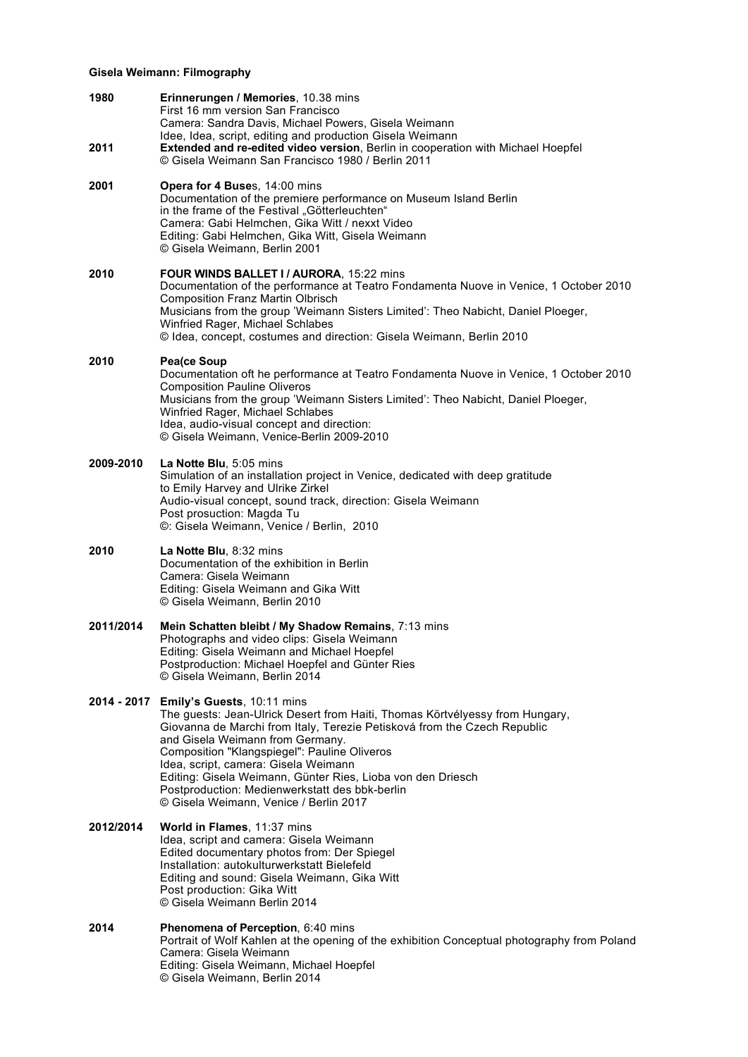## **Gisela Weimann: Filmography**

| 1980      | Erinnerungen / Memories, 10.38 mins<br>First 16 mm version San Francisco<br>Camera: Sandra Davis, Michael Powers, Gisela Weimann<br>Idee, Idea, script, editing and production Gisela Weimann                                                                                                                                                                                                                                                                                             |
|-----------|-------------------------------------------------------------------------------------------------------------------------------------------------------------------------------------------------------------------------------------------------------------------------------------------------------------------------------------------------------------------------------------------------------------------------------------------------------------------------------------------|
| 2011      | Extended and re-edited video version, Berlin in cooperation with Michael Hoepfel<br>© Gisela Weimann San Francisco 1980 / Berlin 2011                                                                                                                                                                                                                                                                                                                                                     |
| 2001      | Opera for 4 Buses, 14:00 mins<br>Documentation of the premiere performance on Museum Island Berlin<br>in the frame of the Festival "Götterleuchten"<br>Camera: Gabi Helmchen, Gika Witt / nexxt Video<br>Editing: Gabi Helmchen, Gika Witt, Gisela Weimann<br>© Gisela Weimann, Berlin 2001                                                                                                                                                                                               |
| 2010      | FOUR WINDS BALLET I / AURORA, 15:22 mins<br>Documentation of the performance at Teatro Fondamenta Nuove in Venice, 1 October 2010<br><b>Composition Franz Martin Olbrisch</b><br>Musicians from the group 'Weimann Sisters Limited': Theo Nabicht, Daniel Ploeger,<br>Winfried Rager, Michael Schlabes<br>© Idea, concept, costumes and direction: Gisela Weimann, Berlin 2010                                                                                                            |
| 2010      | Pea(ce Soup<br>Documentation oft he performance at Teatro Fondamenta Nuove in Venice, 1 October 2010<br><b>Composition Pauline Oliveros</b><br>Musicians from the group 'Weimann Sisters Limited': Theo Nabicht, Daniel Ploeger,<br>Winfried Rager, Michael Schlabes<br>Idea, audio-visual concept and direction:<br>© Gisela Weimann, Venice-Berlin 2009-2010                                                                                                                            |
| 2009-2010 | La Notte Blu, 5:05 mins<br>Simulation of an installation project in Venice, dedicated with deep gratitude<br>to Emily Harvey and Ulrike Zirkel<br>Audio-visual concept, sound track, direction: Gisela Weimann<br>Post prosuction: Magda Tu<br>©: Gisela Weimann, Venice / Berlin, 2010                                                                                                                                                                                                   |
| 2010      | La Notte Blu, 8:32 mins<br>Documentation of the exhibition in Berlin<br>Camera: Gisela Weimann<br>Editing: Gisela Weimann and Gika Witt<br>© Gisela Weimann, Berlin 2010                                                                                                                                                                                                                                                                                                                  |
| 2011/2014 | Mein Schatten bleibt / My Shadow Remains, 7:13 mins<br>Photographs and video clips: Gisela Weimann<br>Editing: Gisela Weimann and Michael Hoepfel<br>Postproduction: Michael Hoepfel and Günter Ries<br>© Gisela Weimann, Berlin 2014                                                                                                                                                                                                                                                     |
|           | 2014 - 2017 Emily's Guests, 10:11 mins<br>The guests: Jean-Ulrick Desert from Haiti, Thomas Körtvélyessy from Hungary,<br>Giovanna de Marchi from Italy, Terezie Petisková from the Czech Republic<br>and Gisela Weimann from Germany.<br>Composition "Klangspiegel": Pauline Oliveros<br>Idea, script, camera: Gisela Weimann<br>Editing: Gisela Weimann, Günter Ries, Lioba von den Driesch<br>Postproduction: Medienwerkstatt des bbk-berlin<br>© Gisela Weimann, Venice / Berlin 2017 |
| 2012/2014 | World in Flames, 11:37 mins<br>Idea, script and camera: Gisela Weimann<br>Edited documentary photos from: Der Spiegel<br>Installation: autokulturwerkstatt Bielefeld<br>Editing and sound: Gisela Weimann, Gika Witt<br>Post production: Gika Witt<br>© Gisela Weimann Berlin 2014                                                                                                                                                                                                        |
| 2014      | Phenomena of Perception, 6:40 mins<br>Portrait of Wolf Kahlen at the opening of the exhibition Conceptual photography from Poland<br>Camera: Gisela Weimann<br>Editing: Gisela Weimann, Michael Hoepfel<br>© Gisela Weimann, Berlin 2014                                                                                                                                                                                                                                                  |